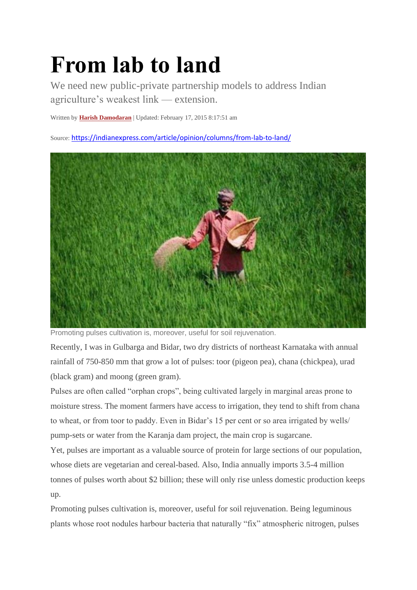## **From lab to land**

We need new public-private partnership models to address Indian agriculture's weakest link — extension.

Written by **[Harish Damodaran](https://indianexpress.com/profile/author/harish-damodaran/)** | Updated: February 17, 2015 8:17:51 am

Source: <https://indianexpress.com/article/opinion/columns/from-lab-to-land/>



Promoting pulses cultivation is, moreover, useful for soil rejuvenation.

Recently, I was in Gulbarga and Bidar, two dry districts of northeast Karnataka with annual rainfall of 750-850 mm that grow a lot of pulses: toor (pigeon pea), chana (chickpea), urad (black gram) and moong (green gram).

Pulses are often called "orphan crops", being cultivated largely in marginal areas prone to moisture stress. The moment farmers have access to irrigation, they tend to shift from chana to wheat, or from toor to paddy. Even in Bidar's 15 per cent or so area irrigated by wells/ pump-sets or water from the Karanja dam project, the main crop is sugarcane.

Yet, pulses are important as a valuable source of protein for large sections of our population, whose diets are vegetarian and cereal-based. Also, India annually imports 3.5-4 million tonnes of pulses worth about \$2 billion; these will only rise unless domestic production keeps up.

Promoting pulses cultivation is, moreover, useful for soil rejuvenation. Being leguminous plants whose root nodules harbour bacteria that naturally "fix" atmospheric nitrogen, pulses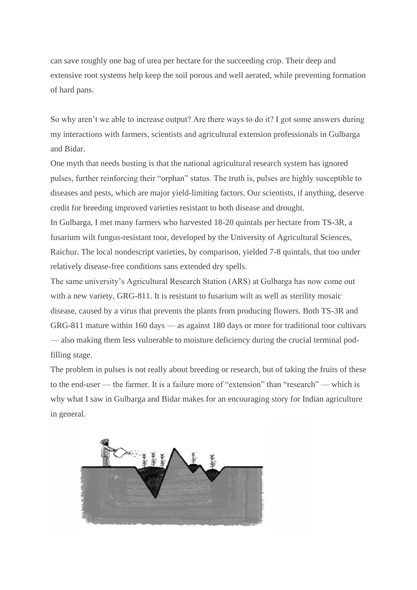can save roughly one bag of urea per hectare for the succeeding crop. Their deep and extensive root systems help keep the soil porous and well aerated, while preventing formation of hard pans.

So why aren't we able to increase output? Are there ways to do it? I got some answers during my interactions with farmers, scientists and agricultural extension professionals in Gulbarga and Bidar.

One myth that needs busting is that the national agricultural research system has ignored pulses, further reinforcing their "orphan" status. The truth is, pulses are highly susceptible to diseases and pests, which are major yield-limiting factors. Our scientists, if anything, deserve credit for breeding improved varieties resistant to both disease and drought.

In Gulbarga, I met many farmers who harvested 18-20 quintals per hectare from TS-3R, a fusarium wilt fungus-resistant toor, developed by the University of Agricultural Sciences, Raichur. The local nondescript varieties, by comparison, yielded 7-8 quintals, that too under relatively disease-free conditions sans extended dry spells.

The same university's Agricultural Research Station (ARS) at Gulbarga has now come out with a new variety, GRG-811. It is resistant to fusarium wilt as well as sterility mosaic disease, caused by a virus that prevents the plants from producing flowers. Both TS-3R and GRG-811 mature within 160 days — as against 180 days or more for traditional toor cultivars — also making them less vulnerable to moisture deficiency during the crucial terminal podfilling stage.

The problem in pulses is not really about breeding or research, but of taking the fruits of these to the end-user — the farmer. It is a failure more of "extension" than "research" — which is why what I saw in Gulbarga and Bidar makes for an encouraging story for Indian agriculture in general.

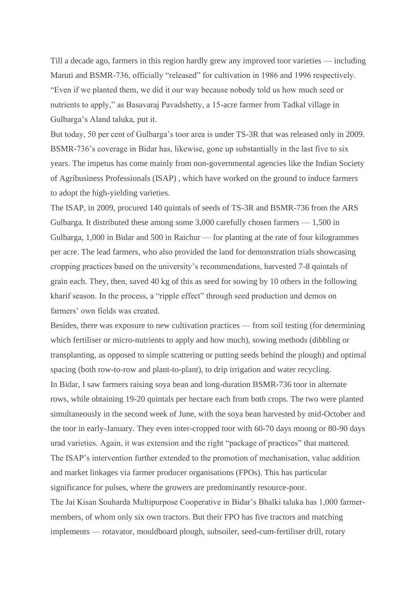Till a decade ago, farmers in this region hardly grew any improved toor varieties — including Maruti and BSMR-736, officially "released" for cultivation in 1986 and 1996 respectively. "Even if we planted them, we did it our way because nobody told us how much seed or nutrients to apply," as Basavaraj Pavadshetty, a 15-acre farmer from Tadkal village in Gulbarga's Aland taluka, put it.

But today, 50 per cent of Gulbarga's toor area is under TS-3R that was released only in 2009. BSMR-736's coverage in Bidar has, likewise, gone up substantially in the last five to six years. The impetus has come mainly from non-governmental agencies like the Indian Society of Agribusiness Professionals (ISAP) , which have worked on the ground to induce farmers to adopt the high-yielding varieties.

The ISAP, in 2009, procured 140 quintals of seeds of TS-3R and BSMR-736 from the ARS Gulbarga. It distributed these among some 3,000 carefully chosen farmers — 1,500 in Gulbarga, 1,000 in Bidar and 500 in Raichur — for planting at the rate of four kilogrammes per acre. The lead farmers, who also provided the land for demonstration trials showcasing cropping practices based on the university's recommendations, harvested 7-8 quintals of grain each. They, then, saved 40 kg of this as seed for sowing by 10 others in the following kharif season. In the process, a "ripple effect" through seed production and demos on farmers' own fields was created.

Besides, there was exposure to new cultivation practices — from soil testing (for determining which fertiliser or micro-nutrients to apply and how much), sowing methods (dibbling or transplanting, as opposed to simple scattering or putting seeds behind the plough) and optimal spacing (both row-to-row and plant-to-plant), to drip irrigation and water recycling. In Bidar, I saw farmers raising soya bean and long-duration BSMR-736 toor in alternate rows, while obtaining 19-20 quintals per hectare each from both crops. The two were planted simultaneously in the second week of June, with the soya bean harvested by mid-October and the toor in early-January. They even inter-cropped toor with 60-70 days moong or 80-90 days urad varieties. Again, it was extension and the right "package of practices" that mattered. The ISAP's intervention further extended to the promotion of mechanisation, value addition and market linkages via farmer producer organisations (FPOs). This has particular significance for pulses, where the growers are predominantly resource-poor. The Jai Kisan Souharda Multipurpose Cooperative in Bidar's Bhalki taluka has 1,000 farmermembers, of whom only six own tractors. But their FPO has five tractors and matching implements — rotavator, mouldboard plough, subsoiler, seed-cum-fertiliser drill, rotary